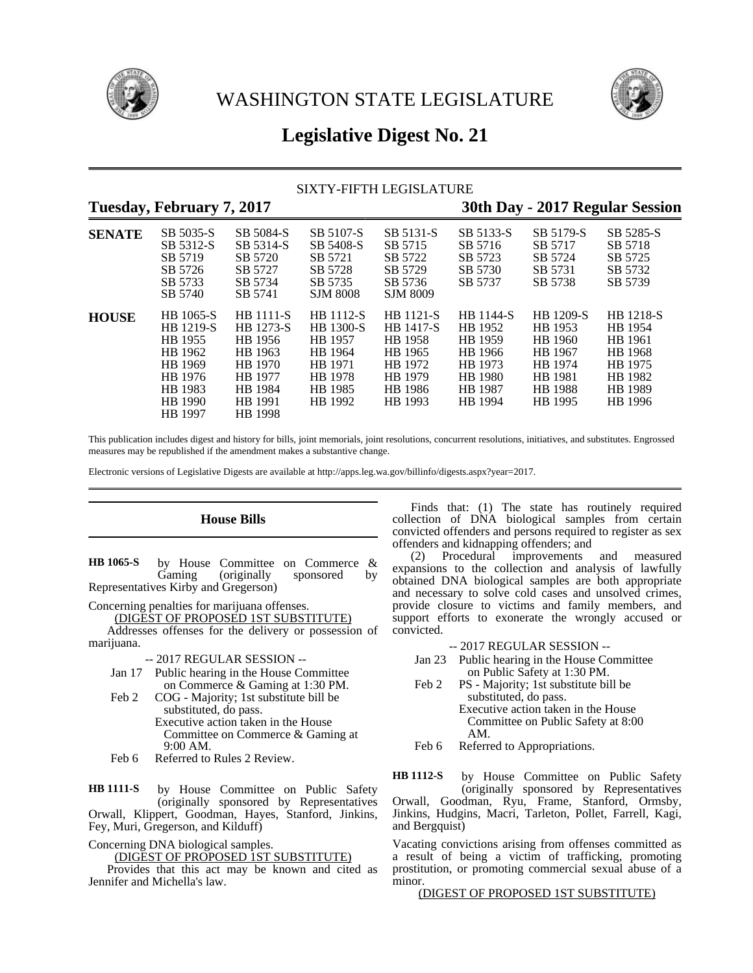



# **Legislative Digest No. 21**

# SIXTY-FIFTH LEGISLATURE

# **Tuesday, February 7, 2017 30th Day - 2017 Regular Session SENATE** SB 5035-S SB 5084-S SB 5107-S SB 5131-S SB 5133-S SB 5179-S SB 5285-S SB 5312-S SB 5314-S SB 5408-S SB 5715 SB 5716 SB 5717 SB 5718 SB 5719 SB 5720 SB 5721 SB 5722 SB 5723 SB 5724 SB 5725 SB 5726 SB 5727 SB 5728 SB 5729 SB 5730 SB 5731 SB 5732 SB 5733 SB 5734 SB 5735 SB 5736 SB 5737 SB 5738 SB 5739 SB 5740 SB 5741 SJM 8008 SJM 8009 **HOUSE** HB 1065-S HB 1111-S HB 1112-S HB 1121-S HB 1144-S HB 1209-S HB 1218-S HB 1219-S HB 1273-S HB 1300-S HB 1417-S HB 1952 HB 1953 HB 1954 HB 1955 HB 1956 HB 1957 HB 1958 HB 1959 HB 1960 HB 1961 HB 1962 HB 1963 HB 1964 HB 1965 HB 1966 HB 1967 HB 1968 HB 1969 HB 1970 HB 1971 HB 1972 HB 1973 HB 1974 HB 1975 HB 1976 HB 1977 HB 1978 HB 1979 HB 1980 HB 1981 HB 1982 HB 1983 HB 1984 HB 1985 HB 1986 HB 1987 HB 1988 HB 1989 HB 1990 HB 1991 HB 1992 HB 1993 HB 1994 HB 1995 HB 1996 HB 1997 HB 1998

This publication includes digest and history for bills, joint memorials, joint resolutions, concurrent resolutions, initiatives, and substitutes. Engrossed measures may be republished if the amendment makes a substantive change.

Electronic versions of Legislative Digests are available at http://apps.leg.wa.gov/billinfo/digests.aspx?year=2017.

# **House Bills**

by House Committee on Commerce &<br>Gaming (originally sponsored by (originally sponsored by Representatives Kirby and Gregerson) **HB 1065-S**

Concerning penalties for marijuana offenses.

(DIGEST OF PROPOSED 1ST SUBSTITUTE) Addresses offenses for the delivery or possession of

marijuana.

-- 2017 REGULAR SESSION --

- Jan 17 Public hearing in the House Committee on Commerce & Gaming at 1:30 PM.
- Feb 2 COG Majority; 1st substitute bill be substituted, do pass. Executive action taken in the House Committee on Commerce & Gaming at 9:00 AM.
- Feb 6 Referred to Rules 2 Review.

by House Committee on Public Safety (originally sponsored by Representatives Orwall, Klippert, Goodman, Hayes, Stanford, Jinkins, Fey, Muri, Gregerson, and Kilduff) **HB 1111-S**

Concerning DNA biological samples.

(DIGEST OF PROPOSED 1ST SUBSTITUTE)

Provides that this act may be known and cited as Jennifer and Michella's law.

Finds that: (1) The state has routinely required collection of DNA biological samples from certain convicted offenders and persons required to register as sex offenders and kidnapping offenders; and

(2) Procedural improvements and measured expansions to the collection and analysis of lawfully obtained DNA biological samples are both appropriate and necessary to solve cold cases and unsolved crimes, provide closure to victims and family members, and support efforts to exonerate the wrongly accused or convicted.

-- 2017 REGULAR SESSION --

- Jan 23 Public hearing in the House Committee on Public Safety at 1:30 PM.
- Feb 2 PS Majority; 1st substitute bill be substituted, do pass. Executive action taken in the House Committee on Public Safety at 8:00 AM.

Feb 6 Referred to Appropriations.

by House Committee on Public Safety (originally sponsored by Representatives **HB 1112-S**

Orwall, Goodman, Ryu, Frame, Stanford, Ormsby, Jinkins, Hudgins, Macri, Tarleton, Pollet, Farrell, Kagi, and Bergquist)

Vacating convictions arising from offenses committed as a result of being a victim of trafficking, promoting prostitution, or promoting commercial sexual abuse of a minor.

(DIGEST OF PROPOSED 1ST SUBSTITUTE)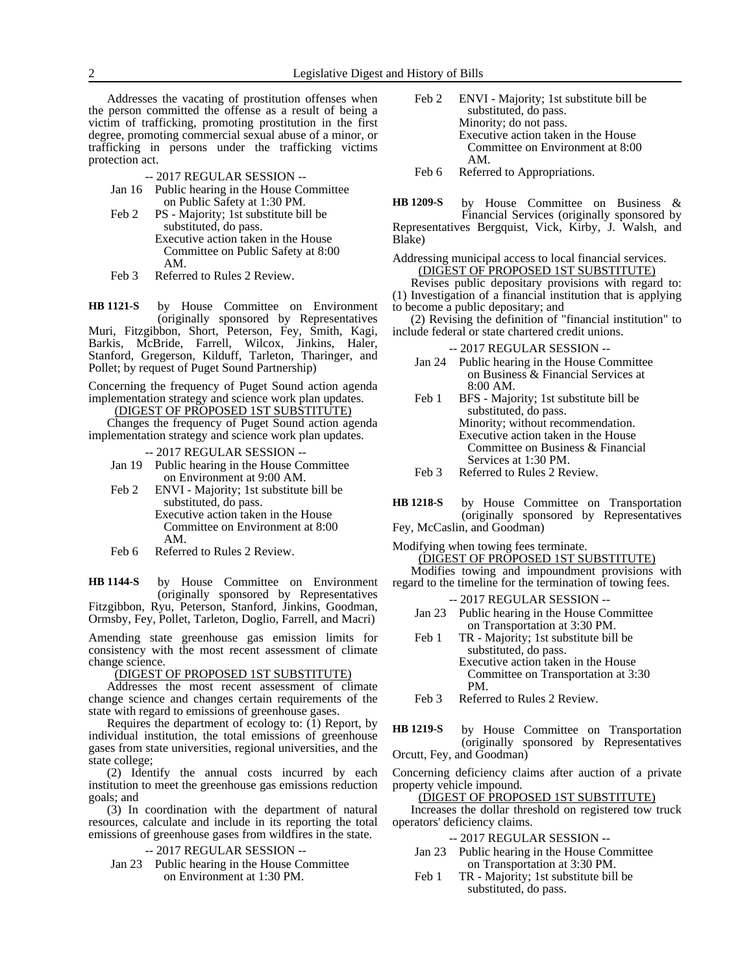Addresses the vacating of prostitution offenses when the person committed the offense as a result of being a victim of trafficking, promoting prostitution in the first degree, promoting commercial sexual abuse of a minor, or trafficking in persons under the trafficking victims protection act.

-- 2017 REGULAR SESSION --

- Jan 16 Public hearing in the House Committee on Public Safety at 1:30 PM.
- Feb 2 PS Majority; 1st substitute bill be substituted, do pass. Executive action taken in the House Committee on Public Safety at 8:00 AM.
- Feb 3 Referred to Rules 2 Review.

by House Committee on Environment (originally sponsored by Representatives Muri, Fitzgibbon, Short, Peterson, Fey, Smith, Kagi, Barkis, McBride, Farrell, Wilcox, Jinkins, Haler, Stanford, Gregerson, Kilduff, Tarleton, Tharinger, and Pollet; by request of Puget Sound Partnership) **HB 1121-S**

Concerning the frequency of Puget Sound action agenda implementation strategy and science work plan updates. (DIGEST OF PROPOSED 1ST SUBSTITUTE)

Changes the frequency of Puget Sound action agenda implementation strategy and science work plan updates.

-- 2017 REGULAR SESSION --

- Jan 19 Public hearing in the House Committee on Environment at 9:00 AM.
- Feb 2 ENVI Majority; 1st substitute bill be substituted, do pass. Executive action taken in the House Committee on Environment at 8:00 AM.
- Feb 6 Referred to Rules 2 Review.

by House Committee on Environment (originally sponsored by Representatives Fitzgibbon, Ryu, Peterson, Stanford, Jinkins, Goodman, **HB 1144-S**

Ormsby, Fey, Pollet, Tarleton, Doglio, Farrell, and Macri)

Amending state greenhouse gas emission limits for consistency with the most recent assessment of climate change science.

(DIGEST OF PROPOSED 1ST SUBSTITUTE)

Addresses the most recent assessment of climate change science and changes certain requirements of the state with regard to emissions of greenhouse gases.

Requires the department of ecology to:  $(1)$  Report, by individual institution, the total emissions of greenhouse gases from state universities, regional universities, and the state college;

(2) Identify the annual costs incurred by each institution to meet the greenhouse gas emissions reduction goals; and

(3) In coordination with the department of natural resources, calculate and include in its reporting the total emissions of greenhouse gases from wildfires in the state.

-- 2017 REGULAR SESSION --

Jan 23 Public hearing in the House Committee on Environment at 1:30 PM.

Feb 2 ENVI - Majority; 1st substitute bill be substituted, do pass. Minority; do not pass. Executive action taken in the House Committee on Environment at 8:00 AM.

Feb 6 Referred to Appropriations.

by House Committee on Business & Financial Services (originally sponsored by Representatives Bergquist, Vick, Kirby, J. Walsh, and Blake) **HB 1209-S**

# Addressing municipal access to local financial services. (DIGEST OF PROPOSED 1ST SUBSTITUTE)

Revises public depositary provisions with regard to: (1) Investigation of a financial institution that is applying to become a public depositary; and

(2) Revising the definition of "financial institution" to include federal or state chartered credit unions.

-- 2017 REGULAR SESSION --

- Jan 24 Public hearing in the House Committee on Business & Financial Services at 8:00 AM.
- Feb 1 BFS Majority; 1st substitute bill be substituted, do pass. Minority; without recommendation. Executive action taken in the House Committee on Business & Financial Services at 1:30 PM.
- Feb 3 Referred to Rules 2 Review.
- by House Committee on Transportation (originally sponsored by Representatives **HB 1218-S**
- Fey, McCaslin, and Goodman)

Modifying when towing fees terminate. (DIGEST OF PROPOSED 1ST SUBSTITUTE)

Modifies towing and impoundment provisions with regard to the timeline for the termination of towing fees.

-- 2017 REGULAR SESSION --

- Jan 23 Public hearing in the House Committee on Transportation at 3:30 PM.
- Feb 1 TR Majority; 1st substitute bill be substituted, do pass. Executive action taken in the House Committee on Transportation at 3:30
- Feb 3 Referred to Rules 2 Review.

PM.

by House Committee on Transportation (originally sponsored by Representatives Orcutt, Fey, and Goodman) **HB 1219-S**

Concerning deficiency claims after auction of a private property vehicle impound.

(DIGEST OF PROPOSED 1ST SUBSTITUTE)

Increases the dollar threshold on registered tow truck operators' deficiency claims.

-- 2017 REGULAR SESSION --

- Jan 23 Public hearing in the House Committee on Transportation at 3:30 PM.
- Feb 1 TR Majority; 1st substitute bill be substituted, do pass.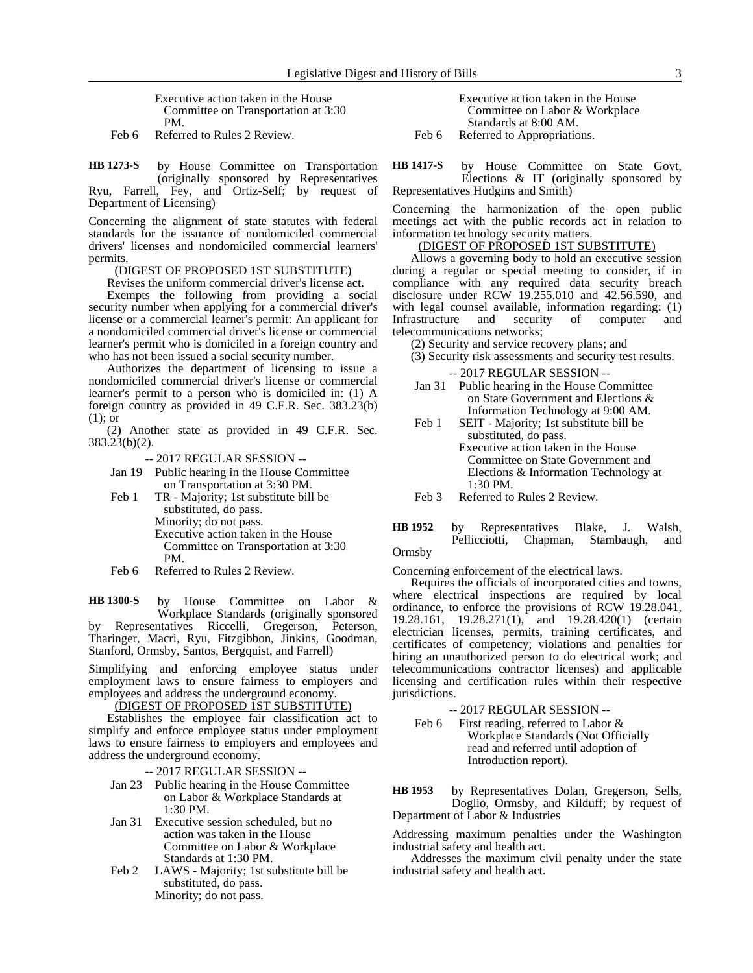Executive action taken in the House Committee on Transportation at 3:30 PM.

Feb 6 Referred to Rules 2 Review.

by House Committee on Transportation (originally sponsored by Representatives Ryu, Farrell, Fey, and Ortiz-Self; by request of Department of Licensing) **HB 1273-S**

Concerning the alignment of state statutes with federal standards for the issuance of nondomiciled commercial drivers' licenses and nondomiciled commercial learners' permits.

## (DIGEST OF PROPOSED 1ST SUBSTITUTE)

Revises the uniform commercial driver's license act.

Exempts the following from providing a social security number when applying for a commercial driver's license or a commercial learner's permit: An applicant for a nondomiciled commercial driver's license or commercial learner's permit who is domiciled in a foreign country and who has not been issued a social security number.

Authorizes the department of licensing to issue a nondomiciled commercial driver's license or commercial learner's permit to a person who is domiciled in: (1) A foreign country as provided in 49 C.F.R. Sec. 383.23(b) (1); or

(2) Another state as provided in 49 C.F.R. Sec. 383.23(b)(2).

-- 2017 REGULAR SESSION --

- Jan 19 Public hearing in the House Committee on Transportation at 3:30 PM.
- Feb 1 TR Majority; 1st substitute bill be substituted, do pass. Minority; do not pass. Executive action taken in the House Committee on Transportation at 3:30 PM.
- Feb 6 Referred to Rules 2 Review.

by House Committee on Labor & Workplace Standards (originally sponsored **HB 1300-S**

by Representatives Riccelli, Gregerson, Peterson, Tharinger, Macri, Ryu, Fitzgibbon, Jinkins, Goodman, Stanford, Ormsby, Santos, Bergquist, and Farrell)

Simplifying and enforcing employee status under employment laws to ensure fairness to employers and employees and address the underground economy.

(DIGEST OF PROPOSED 1ST SUBSTITUTE)

Establishes the employee fair classification act to simplify and enforce employee status under employment laws to ensure fairness to employers and employees and address the underground economy.

-- 2017 REGULAR SESSION --

- Jan 23 Public hearing in the House Committee on Labor & Workplace Standards at 1:30 PM.
- Jan 31 Executive session scheduled, but no action was taken in the House Committee on Labor & Workplace Standards at 1:30 PM.
- Feb 2 LAWS Majority; 1st substitute bill be substituted, do pass. Minority; do not pass.

Executive action taken in the House Committee on Labor & Workplace Standards at 8:00 AM.

Feb 6 Referred to Appropriations.

by House Committee on State Govt, Elections & IT (originally sponsored by Representatives Hudgins and Smith) **HB 1417-S**

Concerning the harmonization of the open public meetings act with the public records act in relation to information technology security matters.

# (DIGEST OF PROPOSED 1ST SUBSTITUTE)

Allows a governing body to hold an executive session during a regular or special meeting to consider, if in compliance with any required data security breach disclosure under RCW 19.255.010 and 42.56.590, and with legal counsel available, information regarding: (1) Infrastructure and security of computer and telecommunications networks;

(2) Security and service recovery plans; and

(3) Security risk assessments and security test results.

-- 2017 REGULAR SESSION --

- Jan 31 Public hearing in the House Committee on State Government and Elections & Information Technology at 9:00 AM.
- Feb 1 SEIT Majority; 1st substitute bill be substituted, do pass. Executive action taken in the House Committee on State Government and Elections & Information Technology at  $1:30 \text{ PM}$
- Feb 3 Referred to Rules 2 Review.

### by Representatives Blake, J. Walsh, Pellicciotti, Chapman, Stambaugh, and Ormsby **HB 1952**

Concerning enforcement of the electrical laws.

Requires the officials of incorporated cities and towns, where electrical inspections are required by local ordinance, to enforce the provisions of RCW 19.28.041, 19.28.161, 19.28.271(1), and 19.28.420(1) (certain electrician licenses, permits, training certificates, and certificates of competency; violations and penalties for hiring an unauthorized person to do electrical work; and telecommunications contractor licenses) and applicable licensing and certification rules within their respective jurisdictions.

-- 2017 REGULAR SESSION --

- Feb 6 First reading, referred to Labor & Workplace Standards (Not Officially read and referred until adoption of Introduction report).
- by Representatives Dolan, Gregerson, Sells, Doglio, Ormsby, and Kilduff; by request of Department of Labor & Industries **HB 1953**

Addressing maximum penalties under the Washington industrial safety and health act.

Addresses the maximum civil penalty under the state industrial safety and health act.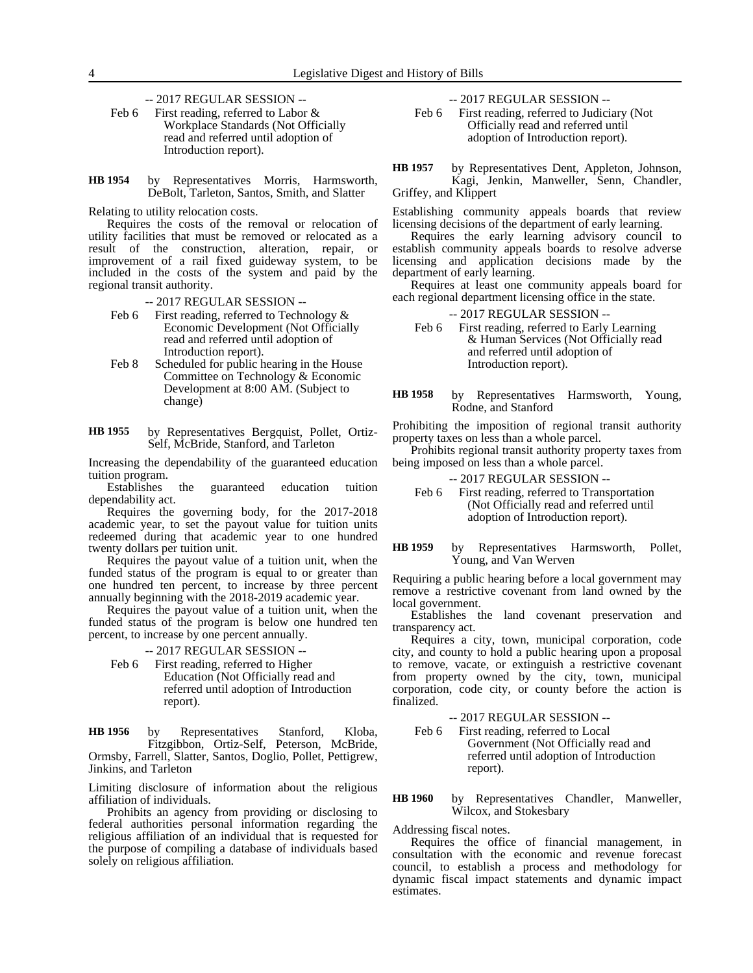-- 2017 REGULAR SESSION --

Feb 6 First reading, referred to Labor & Workplace Standards (Not Officially read and referred until adoption of Introduction report).

by Representatives Morris, Harmsworth, DeBolt, Tarleton, Santos, Smith, and Slatter **HB 1954**

Relating to utility relocation costs.

Requires the costs of the removal or relocation of utility facilities that must be removed or relocated as a result of the construction, alteration, repair, or improvement of a rail fixed guideway system, to be included in the costs of the system and paid by the regional transit authority.

-- 2017 REGULAR SESSION --

- Feb 6 First reading, referred to Technology & Economic Development (Not Officially read and referred until adoption of Introduction report).
- Feb 8 Scheduled for public hearing in the House Committee on Technology & Economic Development at 8:00 AM. (Subject to change)
- by Representatives Bergquist, Pollet, Ortiz-Self, McBride, Stanford, and Tarleton **HB 1955**

Increasing the dependability of the guaranteed education tuition program.<br>Establishes

the guaranteed education tuition dependability act.

Requires the governing body, for the 2017-2018 academic year, to set the payout value for tuition units redeemed during that academic year to one hundred twenty dollars per tuition unit.

Requires the payout value of a tuition unit, when the funded status of the program is equal to or greater than one hundred ten percent, to increase by three percent annually beginning with the 2018-2019 academic year.

Requires the payout value of a tuition unit, when the funded status of the program is below one hundred ten percent, to increase by one percent annually.

-- 2017 REGULAR SESSION --

Feb 6 First reading, referred to Higher Education (Not Officially read and referred until adoption of Introduction report).

by Representatives Stanford, Kloba, Fitzgibbon, Ortiz-Self, Peterson, McBride, Ormsby, Farrell, Slatter, Santos, Doglio, Pollet, Pettigrew, Jinkins, and Tarleton **HB 1956**

Limiting disclosure of information about the religious affiliation of individuals.

Prohibits an agency from providing or disclosing to federal authorities personal information regarding the religious affiliation of an individual that is requested for the purpose of compiling a database of individuals based solely on religious affiliation.

-- 2017 REGULAR SESSION --

Feb 6 First reading, referred to Judiciary (Not Officially read and referred until adoption of Introduction report).

by Representatives Dent, Appleton, Johnson, Kagi, Jenkin, Manweller, Senn, Chandler, Griffey, and Klippert **HB 1957**

Establishing community appeals boards that review licensing decisions of the department of early learning.

Requires the early learning advisory council to establish community appeals boards to resolve adverse licensing and application decisions made by the department of early learning.

Requires at least one community appeals board for each regional department licensing office in the state.

-- 2017 REGULAR SESSION --

Feb 6 First reading, referred to Early Learning & Human Services (Not Officially read and referred until adoption of Introduction report).

by Representatives Harmsworth, Young, Rodne, and Stanford **HB 1958**

Prohibiting the imposition of regional transit authority property taxes on less than a whole parcel.

Prohibits regional transit authority property taxes from being imposed on less than a whole parcel.

- -- 2017 REGULAR SESSION --
- Feb 6 First reading, referred to Transportation (Not Officially read and referred until adoption of Introduction report).

by Representatives Harmsworth, Pollet, Young, and Van Werven **HB 1959**

Requiring a public hearing before a local government may remove a restrictive covenant from land owned by the local government.

Establishes the land covenant preservation and transparency act.

Requires a city, town, municipal corporation, code city, and county to hold a public hearing upon a proposal to remove, vacate, or extinguish a restrictive covenant from property owned by the city, town, municipal corporation, code city, or county before the action is finalized.

-- 2017 REGULAR SESSION --

Feb 6 First reading, referred to Local Government (Not Officially read and referred until adoption of Introduction report).

by Representatives Chandler, Manweller, Wilcox, and Stokesbary **HB 1960**

Addressing fiscal notes.

Requires the office of financial management, in consultation with the economic and revenue forecast council, to establish a process and methodology for dynamic fiscal impact statements and dynamic impact estimates.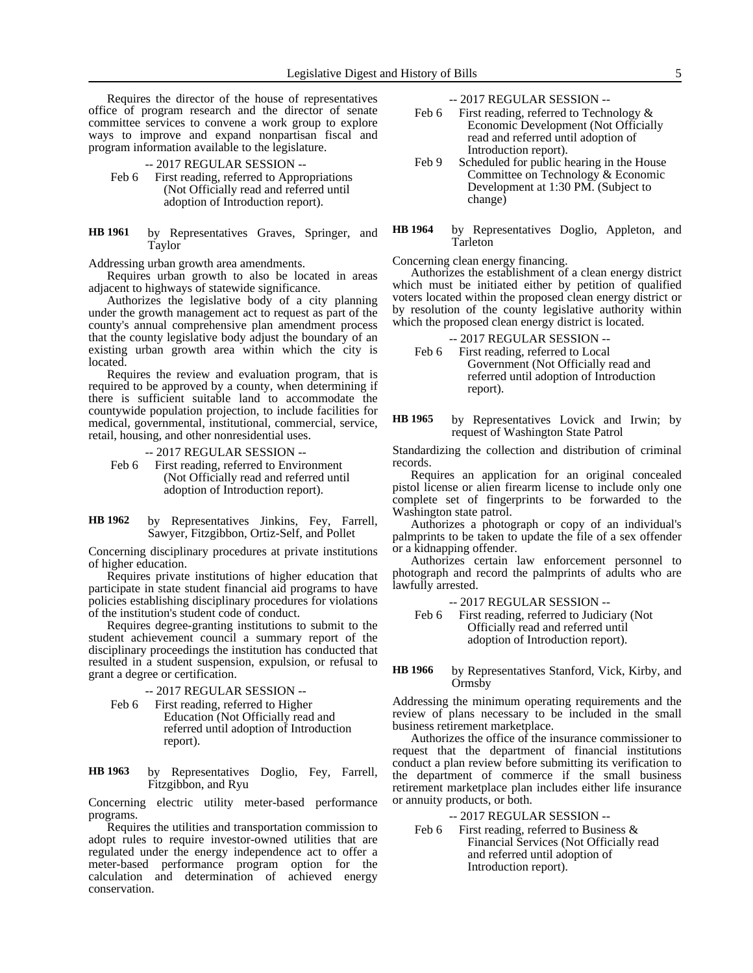Requires the director of the house of representatives office of program research and the director of senate committee services to convene a work group to explore ways to improve and expand nonpartisan fiscal and program information available to the legislature.

-- 2017 REGULAR SESSION --

- Feb 6 First reading, referred to Appropriations (Not Officially read and referred until adoption of Introduction report).
- by Representatives Graves, Springer, and Taylor **HB 1961**

Addressing urban growth area amendments.

Requires urban growth to also be located in areas adjacent to highways of statewide significance.

Authorizes the legislative body of a city planning under the growth management act to request as part of the county's annual comprehensive plan amendment process that the county legislative body adjust the boundary of an existing urban growth area within which the city is located.

Requires the review and evaluation program, that is required to be approved by a county, when determining if there is sufficient suitable land to accommodate the countywide population projection, to include facilities for medical, governmental, institutional, commercial, service, retail, housing, and other nonresidential uses.

-- 2017 REGULAR SESSION --

- Feb 6 First reading, referred to Environment (Not Officially read and referred until adoption of Introduction report).
- by Representatives Jinkins, Fey, Farrell, Sawyer, Fitzgibbon, Ortiz-Self, and Pollet **HB 1962**

Concerning disciplinary procedures at private institutions of higher education.

Requires private institutions of higher education that participate in state student financial aid programs to have policies establishing disciplinary procedures for violations of the institution's student code of conduct.

Requires degree-granting institutions to submit to the student achievement council a summary report of the disciplinary proceedings the institution has conducted that resulted in a student suspension, expulsion, or refusal to grant a degree or certification.

-- 2017 REGULAR SESSION --

Feb 6 First reading, referred to Higher Education (Not Officially read and referred until adoption of Introduction report).

by Representatives Doglio, Fey, Farrell, Fitzgibbon, and Ryu **HB 1963**

Concerning electric utility meter-based performance programs.

Requires the utilities and transportation commission to adopt rules to require investor-owned utilities that are regulated under the energy independence act to offer a meter-based performance program option for the calculation and determination of achieved energy conservation.

-- 2017 REGULAR SESSION --

- Feb 6 First reading, referred to Technology  $\&$ Economic Development (Not Officially read and referred until adoption of Introduction report).
- Feb 9 Scheduled for public hearing in the House Committee on Technology & Economic Development at 1:30 PM. (Subject to change)
- by Representatives Doglio, Appleton, and Tarleton **HB 1964**

Concerning clean energy financing.

Authorizes the establishment of a clean energy district which must be initiated either by petition of qualified voters located within the proposed clean energy district or by resolution of the county legislative authority within which the proposed clean energy district is located.

- -- 2017 REGULAR SESSION -- Feb 6 First reading, referred to Local Government (Not Officially read and referred until adoption of Introduction report).
- by Representatives Lovick and Irwin; by request of Washington State Patrol **HB 1965**

Standardizing the collection and distribution of criminal records.

Requires an application for an original concealed pistol license or alien firearm license to include only one complete set of fingerprints to be forwarded to the Washington state patrol.

Authorizes a photograph or copy of an individual's palmprints to be taken to update the file of a sex offender or a kidnapping offender.

Authorizes certain law enforcement personnel to photograph and record the palmprints of adults who are lawfully arrested.

- -- 2017 REGULAR SESSION --
- Feb 6 First reading, referred to Judiciary (Not Officially read and referred until adoption of Introduction report).

#### by Representatives Stanford, Vick, Kirby, and Ormsby **HB 1966**

Addressing the minimum operating requirements and the review of plans necessary to be included in the small business retirement marketplace.

Authorizes the office of the insurance commissioner to request that the department of financial institutions conduct a plan review before submitting its verification to the department of commerce if the small business retirement marketplace plan includes either life insurance or annuity products, or both.

-- 2017 REGULAR SESSION --

Feb 6 First reading, referred to Business  $\&$ Financial Services (Not Officially read and referred until adoption of Introduction report).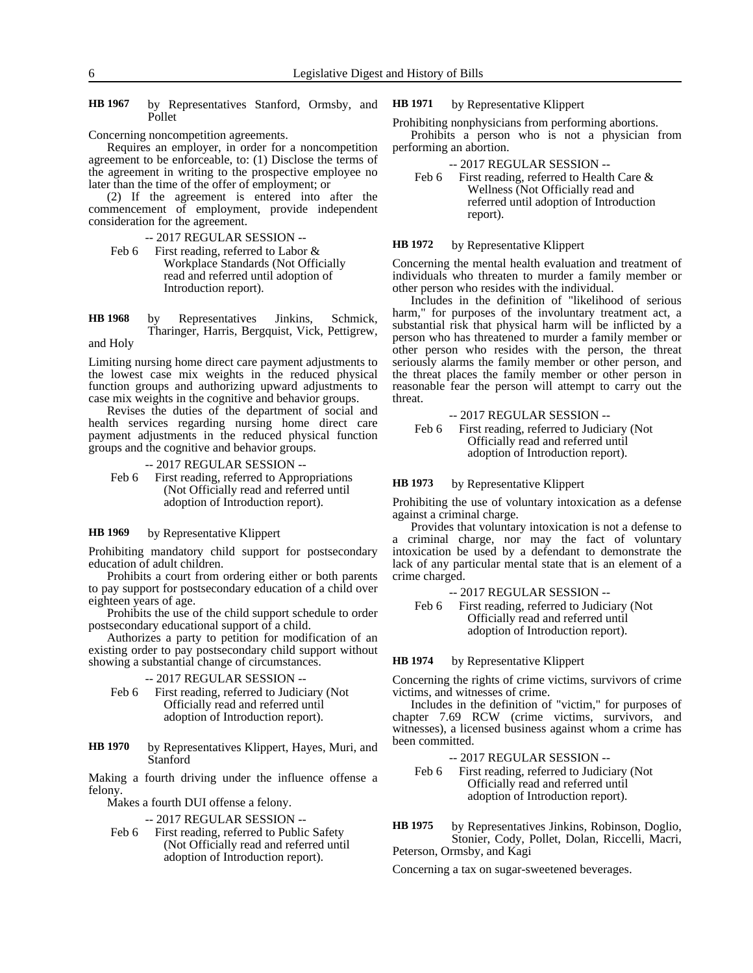by Representatives Stanford, Ormsby, and Pollet **HB 1967**

Concerning noncompetition agreements.

Requires an employer, in order for a noncompetition agreement to be enforceable, to: (1) Disclose the terms of the agreement in writing to the prospective employee no later than the time of the offer of employment; or

(2) If the agreement is entered into after the commencement of employment, provide independent consideration for the agreement.

-- 2017 REGULAR SESSION --

Feb 6 First reading, referred to Labor & Workplace Standards (Not Officially read and referred until adoption of Introduction report).

by Representatives Jinkins, Schmick, Tharinger, Harris, Bergquist, Vick, Pettigrew, **HB 1968**

and Holy

Limiting nursing home direct care payment adjustments to the lowest case mix weights in the reduced physical function groups and authorizing upward adjustments to case mix weights in the cognitive and behavior groups.

Revises the duties of the department of social and health services regarding nursing home direct care payment adjustments in the reduced physical function groups and the cognitive and behavior groups.

-- 2017 REGULAR SESSION --

Feb 6 First reading, referred to Appropriations (Not Officially read and referred until adoption of Introduction report).

by Representative Klippert **HB 1969**

Prohibiting mandatory child support for postsecondary education of adult children.

Prohibits a court from ordering either or both parents to pay support for postsecondary education of a child over eighteen years of age.

Prohibits the use of the child support schedule to order postsecondary educational support of a child.

Authorizes a party to petition for modification of an existing order to pay postsecondary child support without showing a substantial change of circumstances.

-- 2017 REGULAR SESSION --

- Feb 6 First reading, referred to Judiciary (Not Officially read and referred until adoption of Introduction report).
- by Representatives Klippert, Hayes, Muri, and Stanford **HB 1970**

Making a fourth driving under the influence offense a felony.

Makes a fourth DUI offense a felony.

-- 2017 REGULAR SESSION --

Feb 6 First reading, referred to Public Safety (Not Officially read and referred until adoption of Introduction report).

by Representative Klippert **HB 1971**

Prohibiting nonphysicians from performing abortions. Prohibits a person who is not a physician from performing an abortion.

- -- 2017 REGULAR SESSION --
- Feb 6 First reading, referred to Health Care & Wellness (Not Officially read and referred until adoption of Introduction report).

#### by Representative Klippert **HB 1972**

Concerning the mental health evaluation and treatment of individuals who threaten to murder a family member or other person who resides with the individual.

Includes in the definition of "likelihood of serious harm," for purposes of the involuntary treatment act, a substantial risk that physical harm will be inflicted by a person who has threatened to murder a family member or other person who resides with the person, the threat seriously alarms the family member or other person, and the threat places the family member or other person in reasonable fear the person will attempt to carry out the threat.

### -- 2017 REGULAR SESSION --

Feb 6 First reading, referred to Judiciary (Not Officially read and referred until adoption of Introduction report).

#### by Representative Klippert **HB 1973**

Prohibiting the use of voluntary intoxication as a defense against a criminal charge.

Provides that voluntary intoxication is not a defense to a criminal charge, nor may the fact of voluntary intoxication be used by a defendant to demonstrate the lack of any particular mental state that is an element of a crime charged.

-- 2017 REGULAR SESSION --

Feb 6 First reading, referred to Judiciary (Not Officially read and referred until adoption of Introduction report).

by Representative Klippert **HB 1974**

Concerning the rights of crime victims, survivors of crime victims, and witnesses of crime.

Includes in the definition of "victim," for purposes of chapter 7.69 RCW (crime victims, survivors, and witnesses), a licensed business against whom a crime has been committed.

### -- 2017 REGULAR SESSION --

Feb 6 First reading, referred to Judiciary (Not Officially read and referred until adoption of Introduction report).

by Representatives Jinkins, Robinson, Doglio, Stonier, Cody, Pollet, Dolan, Riccelli, Macri, Peterson, Ormsby, and Kagi **HB 1975**

Concerning a tax on sugar-sweetened beverages.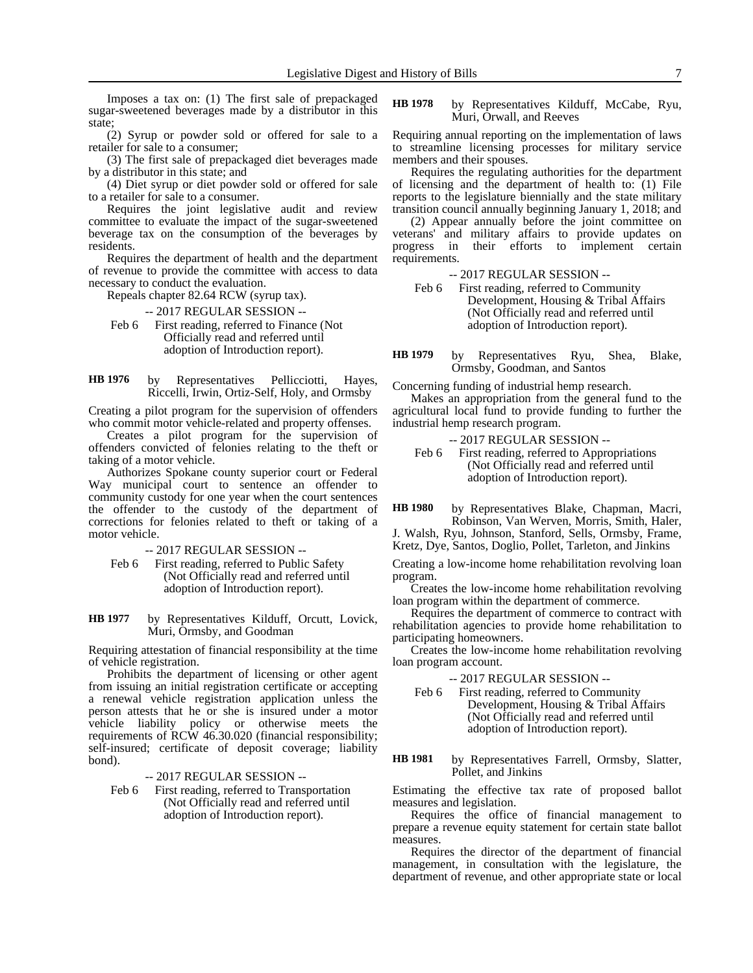Imposes a tax on: (1) The first sale of prepackaged sugar-sweetened beverages made by a distributor in this state;

(2) Syrup or powder sold or offered for sale to a retailer for sale to a consumer;

(3) The first sale of prepackaged diet beverages made by a distributor in this state; and

(4) Diet syrup or diet powder sold or offered for sale to a retailer for sale to a consumer.

Requires the joint legislative audit and review committee to evaluate the impact of the sugar-sweetened beverage tax on the consumption of the beverages by residents.

Requires the department of health and the department of revenue to provide the committee with access to data necessary to conduct the evaluation.

Repeals chapter 82.64 RCW (syrup tax).

-- 2017 REGULAR SESSION --

Feb 6 First reading, referred to Finance (Not Officially read and referred until adoption of Introduction report).

by Representatives Pellicciotti, Hayes, Riccelli, Irwin, Ortiz-Self, Holy, and Ormsby **HB 1976**

Creating a pilot program for the supervision of offenders who commit motor vehicle-related and property offenses.

Creates a pilot program for the supervision of offenders convicted of felonies relating to the theft or taking of a motor vehicle.

Authorizes Spokane county superior court or Federal Way municipal court to sentence an offender to community custody for one year when the court sentences the offender to the custody of the department of corrections for felonies related to theft or taking of a motor vehicle.

-- 2017 REGULAR SESSION --

Feb 6 First reading, referred to Public Safety (Not Officially read and referred until adoption of Introduction report).

by Representatives Kilduff, Orcutt, Lovick, Muri, Ormsby, and Goodman **HB 1977**

Requiring attestation of financial responsibility at the time of vehicle registration.

Prohibits the department of licensing or other agent from issuing an initial registration certificate or accepting a renewal vehicle registration application unless the person attests that he or she is insured under a motor vehicle liability policy or otherwise meets the requirements of RCW 46.30.020 (financial responsibility; self-insured; certificate of deposit coverage; liability bond).

-- 2017 REGULAR SESSION --

Feb 6 First reading, referred to Transportation (Not Officially read and referred until adoption of Introduction report).

by Representatives Kilduff, McCabe, Ryu, Muri, Orwall, and Reeves **HB 1978**

Requiring annual reporting on the implementation of laws to streamline licensing processes for military service members and their spouses.

Requires the regulating authorities for the department of licensing and the department of health to: (1) File reports to the legislature biennially and the state military transition council annually beginning January 1, 2018; and

(2) Appear annually before the joint committee on veterans' and military affairs to provide updates on progress in their efforts to implement certain requirements.

- -- 2017 REGULAR SESSION --
- Feb 6 First reading, referred to Community Development, Housing & Tribal Affairs (Not Officially read and referred until adoption of Introduction report).

by Representatives Ryu, Shea, Blake, Ormsby, Goodman, and Santos **HB 1979**

Concerning funding of industrial hemp research.

Makes an appropriation from the general fund to the agricultural local fund to provide funding to further the industrial hemp research program.

- -- 2017 REGULAR SESSION --
- Feb 6 First reading, referred to Appropriations (Not Officially read and referred until adoption of Introduction report).

by Representatives Blake, Chapman, Macri, Robinson, Van Werven, Morris, Smith, Haler, **HB 1980**

J. Walsh, Ryu, Johnson, Stanford, Sells, Ormsby, Frame, Kretz, Dye, Santos, Doglio, Pollet, Tarleton, and Jinkins

Creating a low-income home rehabilitation revolving loan program.

Creates the low-income home rehabilitation revolving loan program within the department of commerce.

Requires the department of commerce to contract with rehabilitation agencies to provide home rehabilitation to participating homeowners.

Creates the low-income home rehabilitation revolving loan program account.

-- 2017 REGULAR SESSION --

Feb 6 First reading, referred to Community Development, Housing & Tribal Affairs (Not Officially read and referred until adoption of Introduction report).

by Representatives Farrell, Ormsby, Slatter, Pollet, and Jinkins **HB 1981**

Estimating the effective tax rate of proposed ballot measures and legislation.

Requires the office of financial management to prepare a revenue equity statement for certain state ballot measures.

Requires the director of the department of financial management, in consultation with the legislature, the department of revenue, and other appropriate state or local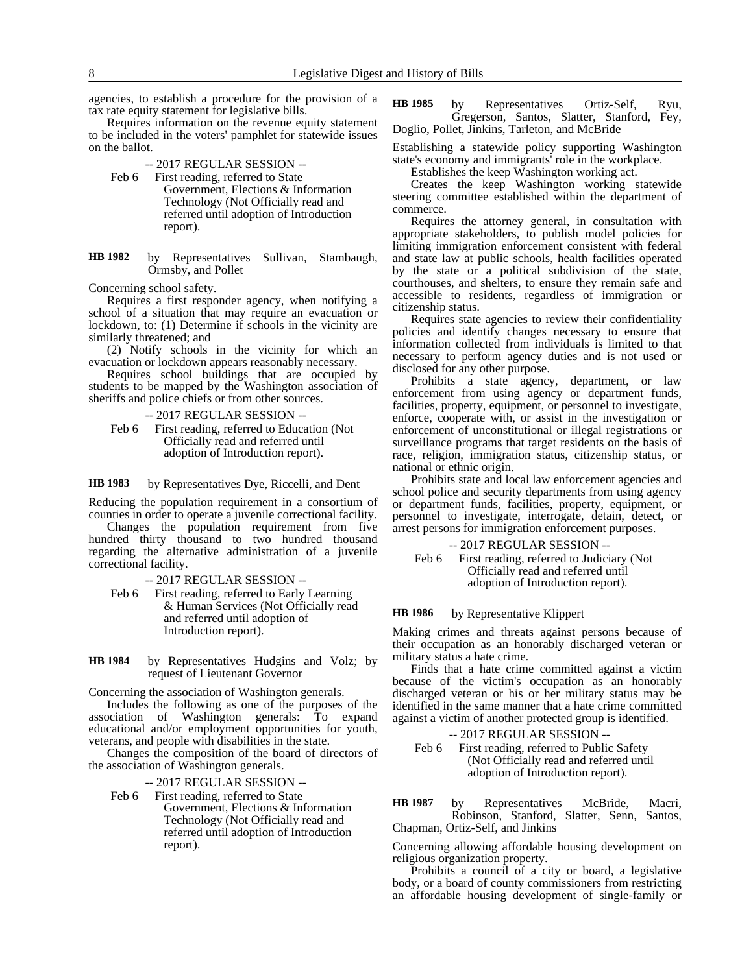agencies, to establish a procedure for the provision of a tax rate equity statement for legislative bills.

Requires information on the revenue equity statement to be included in the voters' pamphlet for statewide issues on the ballot.

- -- 2017 REGULAR SESSION --
- Feb 6 First reading, referred to State Government, Elections & Information Technology (Not Officially read and referred until adoption of Introduction report).
- by Representatives Sullivan, Stambaugh, Ormsby, and Pollet **HB 1982**

Concerning school safety.

Requires a first responder agency, when notifying a school of a situation that may require an evacuation or lockdown, to: (1) Determine if schools in the vicinity are similarly threatened; and

(2) Notify schools in the vicinity for which an evacuation or lockdown appears reasonably necessary.

Requires school buildings that are occupied by students to be mapped by the Washington association of sheriffs and police chiefs or from other sources.

- -- 2017 REGULAR SESSION --
- Feb 6 First reading, referred to Education (Not Officially read and referred until adoption of Introduction report).

#### by Representatives Dye, Riccelli, and Dent **HB 1983**

Reducing the population requirement in a consortium of counties in order to operate a juvenile correctional facility.

Changes the population requirement from five hundred thirty thousand to two hundred thousand regarding the alternative administration of a juvenile correctional facility.

- -- 2017 REGULAR SESSION --
- Feb 6 First reading, referred to Early Learning & Human Services (Not Officially read and referred until adoption of Introduction report).
- by Representatives Hudgins and Volz; by request of Lieutenant Governor **HB 1984**

Concerning the association of Washington generals.

Includes the following as one of the purposes of the association of Washington generals: To expand educational and/or employment opportunities for youth, veterans, and people with disabilities in the state.

Changes the composition of the board of directors of the association of Washington generals.

-- 2017 REGULAR SESSION --

Feb 6 First reading, referred to State Government, Elections & Information Technology (Not Officially read and referred until adoption of Introduction report).

by Representatives Ortiz-Self, Ryu, Gregerson, Santos, Slatter, Stanford, Fey, Doglio, Pollet, Jinkins, Tarleton, and McBride **HB 1985**

Establishing a statewide policy supporting Washington state's economy and immigrants' role in the workplace.

Establishes the keep Washington working act.

Creates the keep Washington working statewide steering committee established within the department of commerce.

Requires the attorney general, in consultation with appropriate stakeholders, to publish model policies for limiting immigration enforcement consistent with federal and state law at public schools, health facilities operated by the state or a political subdivision of the state, courthouses, and shelters, to ensure they remain safe and accessible to residents, regardless of immigration or citizenship status.

Requires state agencies to review their confidentiality policies and identify changes necessary to ensure that information collected from individuals is limited to that necessary to perform agency duties and is not used or disclosed for any other purpose.

Prohibits a state agency, department, or law enforcement from using agency or department funds, facilities, property, equipment, or personnel to investigate, enforce, cooperate with, or assist in the investigation or enforcement of unconstitutional or illegal registrations or surveillance programs that target residents on the basis of race, religion, immigration status, citizenship status, or national or ethnic origin.

Prohibits state and local law enforcement agencies and school police and security departments from using agency or department funds, facilities, property, equipment, or personnel to investigate, interrogate, detain, detect, or arrest persons for immigration enforcement purposes.

-- 2017 REGULAR SESSION -- Feb 6 First reading, referred to Judiciary (Not Officially read and referred until adoption of Introduction report).

#### by Representative Klippert **HB 1986**

Making crimes and threats against persons because of their occupation as an honorably discharged veteran or military status a hate crime.

Finds that a hate crime committed against a victim because of the victim's occupation as an honorably discharged veteran or his or her military status may be identified in the same manner that a hate crime committed against a victim of another protected group is identified.

-- 2017 REGULAR SESSION -- Feb 6 First reading, referred to Public Safety (Not Officially read and referred until adoption of Introduction report).

by Representatives McBride, Macri, Robinson, Stanford, Slatter, Senn, Santos, Chapman, Ortiz-Self, and Jinkins **HB 1987**

Concerning allowing affordable housing development on religious organization property.

Prohibits a council of a city or board, a legislative body, or a board of county commissioners from restricting an affordable housing development of single-family or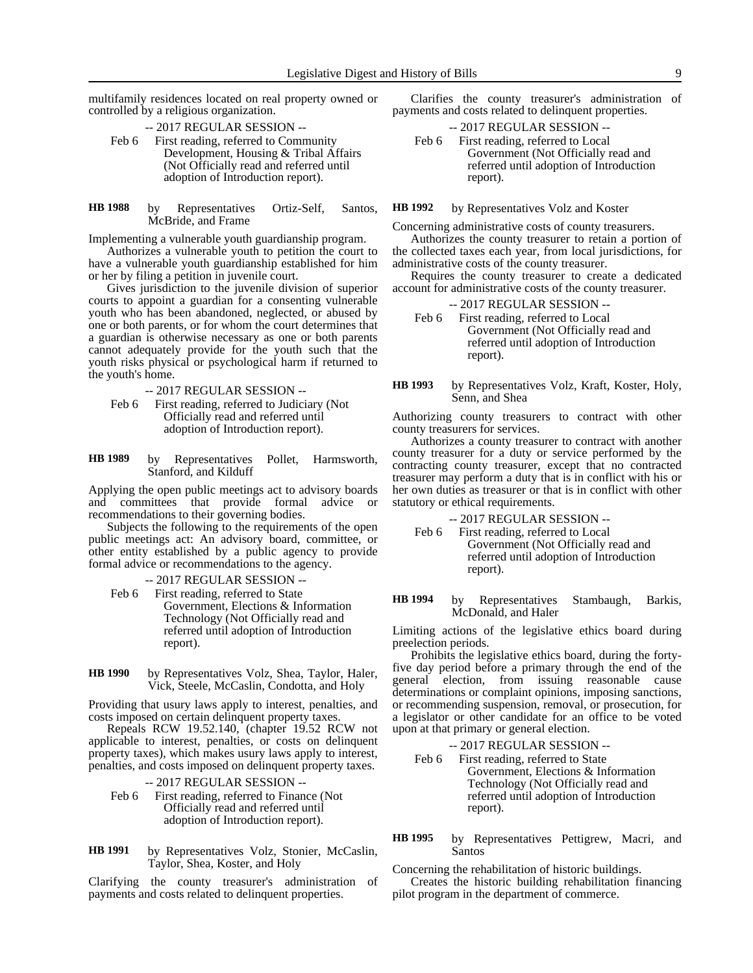multifamily residences located on real property owned or controlled by a religious organization.

-- 2017 REGULAR SESSION --

- Feb 6 First reading, referred to Community Development, Housing & Tribal Affairs (Not Officially read and referred until adoption of Introduction report).
- by Representatives Ortiz-Self, Santos, McBride, and Frame **HB 1988**

Implementing a vulnerable youth guardianship program.

Authorizes a vulnerable youth to petition the court to have a vulnerable youth guardianship established for him or her by filing a petition in juvenile court.

Gives jurisdiction to the juvenile division of superior courts to appoint a guardian for a consenting vulnerable youth who has been abandoned, neglected, or abused by one or both parents, or for whom the court determines that a guardian is otherwise necessary as one or both parents cannot adequately provide for the youth such that the youth risks physical or psychological harm if returned to the youth's home.

-- 2017 REGULAR SESSION --

Feb 6 First reading, referred to Judiciary (Not Officially read and referred until adoption of Introduction report).

by Representatives Pollet, Harmsworth, Stanford, and Kilduff **HB 1989**

Applying the open public meetings act to advisory boards and committees that provide formal advice or recommendations to their governing bodies.

Subjects the following to the requirements of the open public meetings act: An advisory board, committee, or other entity established by a public agency to provide formal advice or recommendations to the agency.

-- 2017 REGULAR SESSION -- Feb 6 First reading, referred to State Government, Elections & Information Technology (Not Officially read and referred until adoption of Introduction report).

by Representatives Volz, Shea, Taylor, Haler, Vick, Steele, McCaslin, Condotta, and Holy **HB 1990**

Providing that usury laws apply to interest, penalties, and costs imposed on certain delinquent property taxes.

Repeals RCW 19.52.140, (chapter 19.52 RCW not applicable to interest, penalties, or costs on delinquent property taxes), which makes usury laws apply to interest, penalties, and costs imposed on delinquent property taxes.

- -- 2017 REGULAR SESSION --
- Feb 6 First reading, referred to Finance (Not Officially read and referred until adoption of Introduction report).

by Representatives Volz, Stonier, McCaslin, Taylor, Shea, Koster, and Holy **HB 1991**

Clarifying the county treasurer's administration of payments and costs related to delinquent properties.

Clarifies the county treasurer's administration of payments and costs related to delinquent properties.

-- 2017 REGULAR SESSION -- Feb 6 First reading, referred to Local Government (Not Officially read and referred until adoption of Introduction report).

by Representatives Volz and Koster **HB 1992**

Concerning administrative costs of county treasurers.

Authorizes the county treasurer to retain a portion of the collected taxes each year, from local jurisdictions, for administrative costs of the county treasurer.

Requires the county treasurer to create a dedicated account for administrative costs of the county treasurer.

| $-2017$ REGULAR SESSION $-$ |  |
|-----------------------------|--|
|-----------------------------|--|

- Feb 6 First reading, referred to Local Government (Not Officially read and referred until adoption of Introduction report).
- by Representatives Volz, Kraft, Koster, Holy, Senn, and Shea **HB 1993**

Authorizing county treasurers to contract with other county treasurers for services.

Authorizes a county treasurer to contract with another county treasurer for a duty or service performed by the contracting county treasurer, except that no contracted treasurer may perform a duty that is in conflict with his or her own duties as treasurer or that is in conflict with other statutory or ethical requirements.

- -- 2017 REGULAR SESSION --
- Feb 6 First reading, referred to Local Government (Not Officially read and referred until adoption of Introduction report).

by Representatives Stambaugh, Barkis, McDonald, and Haler **HB 1994**

Limiting actions of the legislative ethics board during preelection periods.

Prohibits the legislative ethics board, during the fortyfive day period before a primary through the end of the general election, from issuing reasonable cause determinations or complaint opinions, imposing sanctions, or recommending suspension, removal, or prosecution, for a legislator or other candidate for an office to be voted upon at that primary or general election.

-- 2017 REGULAR SESSION --

Feb 6 First reading, referred to State Government, Elections & Information Technology (Not Officially read and referred until adoption of Introduction report).

by Representatives Pettigrew, Macri, and Santos **HB 1995**

Concerning the rehabilitation of historic buildings. Creates the historic building rehabilitation financing pilot program in the department of commerce.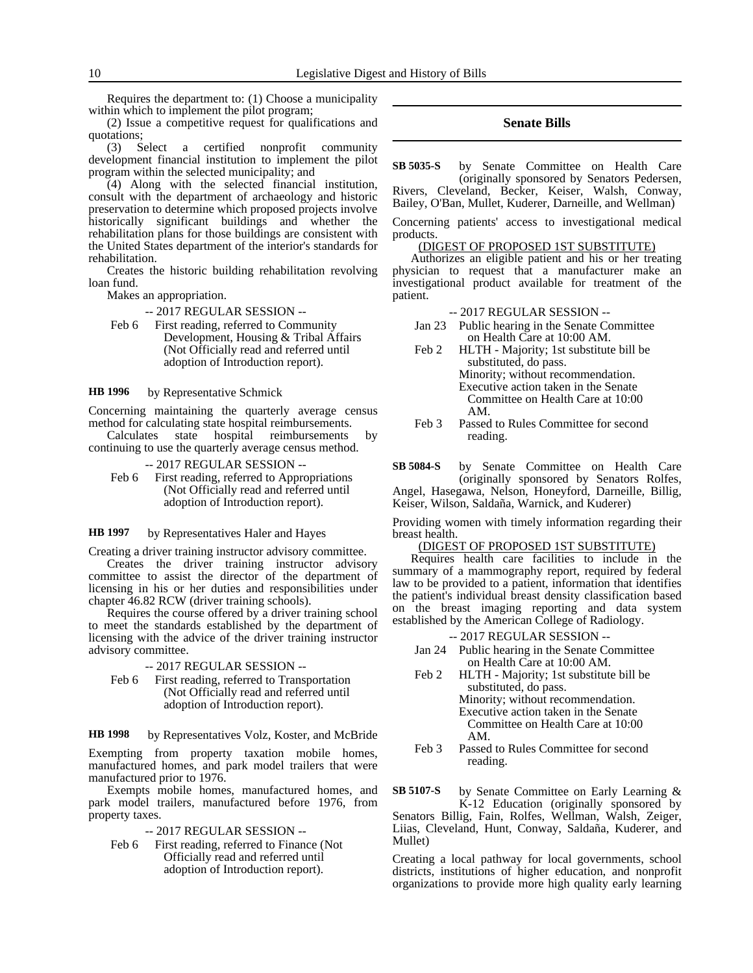Requires the department to: (1) Choose a municipality within which to implement the pilot program;

(2) Issue a competitive request for qualifications and quotations;

(3) Select a certified nonprofit community development financial institution to implement the pilot program within the selected municipality; and

(4) Along with the selected financial institution, consult with the department of archaeology and historic preservation to determine which proposed projects involve historically significant buildings and whether the rehabilitation plans for those buildings are consistent with the United States department of the interior's standards for rehabilitation.

Creates the historic building rehabilitation revolving loan fund.

Makes an appropriation.

-- 2017 REGULAR SESSION --

Feb 6 First reading, referred to Community Development, Housing & Tribal Affairs (Not Officially read and referred until adoption of Introduction report).

by Representative Schmick **HB 1996**

Concerning maintaining the quarterly average census method for calculating state hospital reimbursements.

- Calculates state hospital reimbursements by continuing to use the quarterly average census method.
	- -- 2017 REGULAR SESSION --
	- Feb 6 First reading, referred to Appropriations (Not Officially read and referred until adoption of Introduction report).

by Representatives Haler and Hayes **HB 1997**

Creating a driver training instructor advisory committee.

Creates the driver training instructor advisory committee to assist the director of the department of licensing in his or her duties and responsibilities under chapter 46.82 RCW (driver training schools).

Requires the course offered by a driver training school to meet the standards established by the department of licensing with the advice of the driver training instructor advisory committee.

-- 2017 REGULAR SESSION --

Feb 6 First reading, referred to Transportation (Not Officially read and referred until adoption of Introduction report).

by Representatives Volz, Koster, and McBride **HB 1998**

Exempting from property taxation mobile homes, manufactured homes, and park model trailers that were manufactured prior to 1976.

Exempts mobile homes, manufactured homes, and park model trailers, manufactured before 1976, from property taxes.

-- 2017 REGULAR SESSION --

Feb 6 First reading, referred to Finance (Not Officially read and referred until adoption of Introduction report).

### **Senate Bills**

by Senate Committee on Health Care (originally sponsored by Senators Pedersen, **SB 5035-S**

Rivers, Cleveland, Becker, Keiser, Walsh, Conway, Bailey, O'Ban, Mullet, Kuderer, Darneille, and Wellman)

Concerning patients' access to investigational medical products.

### (DIGEST OF PROPOSED 1ST SUBSTITUTE)

Authorizes an eligible patient and his or her treating physician to request that a manufacturer make an investigational product available for treatment of the patient.

### -- 2017 REGULAR SESSION --

- Jan 23 Public hearing in the Senate Committee on Health Care at 10:00 AM.
- Feb 2 HLTH Majority; 1st substitute bill be substituted, do pass. Minority; without recommendation. Executive action taken in the Senate Committee on Health Care at 10:00 AM.
- Feb 3 Passed to Rules Committee for second reading.
- by Senate Committee on Health Care (originally sponsored by Senators Rolfes, Angel, Hasegawa, Nelson, Honeyford, Darneille, Billig, **SB 5084-S**

Keiser, Wilson, Saldaña, Warnick, and Kuderer)

Providing women with timely information regarding their breast health.

### (DIGEST OF PROPOSED 1ST SUBSTITUTE)

Requires health care facilities to include in the summary of a mammography report, required by federal law to be provided to a patient, information that identifies the patient's individual breast density classification based on the breast imaging reporting and data system established by the American College of Radiology.

-- 2017 REGULAR SESSION --

- Jan 24 Public hearing in the Senate Committee on Health Care at 10:00 AM.
- Feb 2 HLTH Majority; 1st substitute bill be substituted, do pass. Minority; without recommendation. Executive action taken in the Senate Committee on Health Care at 10:00 AM.
- Feb 3 Passed to Rules Committee for second reading.

by Senate Committee on Early Learning & K-12 Education (originally sponsored by Senators Billig, Fain, Rolfes, Wellman, Walsh, Zeiger, Liias, Cleveland, Hunt, Conway, Saldaña, Kuderer, and Mullet) **SB 5107-S**

Creating a local pathway for local governments, school districts, institutions of higher education, and nonprofit organizations to provide more high quality early learning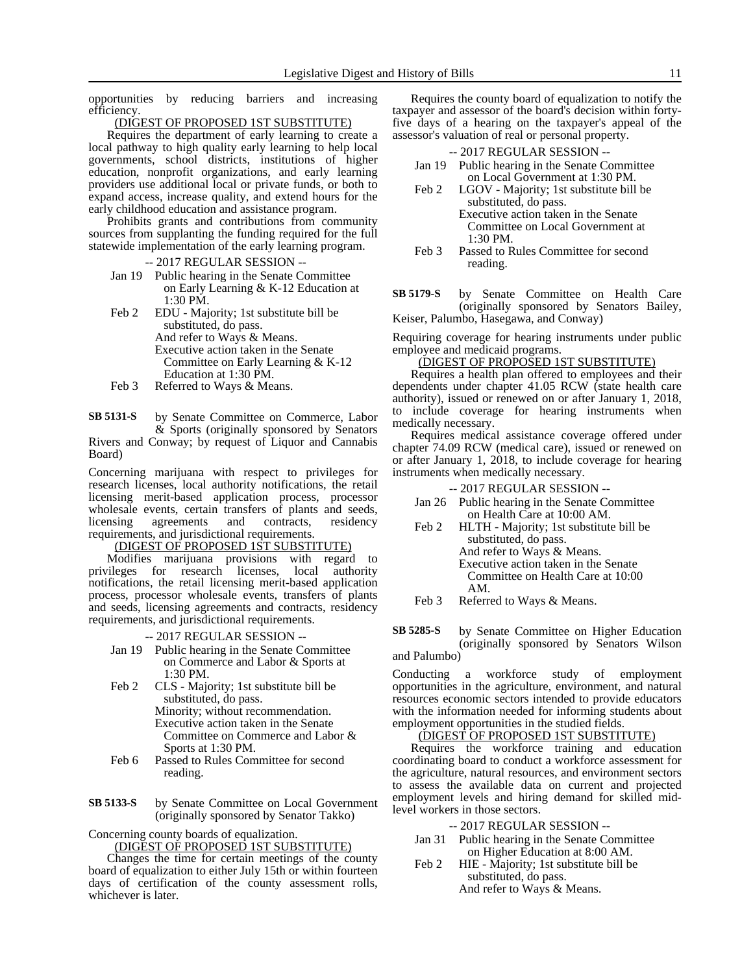opportunities by reducing barriers and increasing efficiency.

### (DIGEST OF PROPOSED 1ST SUBSTITUTE)

Requires the department of early learning to create a local pathway to high quality early learning to help local governments, school districts, institutions of higher education, nonprofit organizations, and early learning providers use additional local or private funds, or both to expand access, increase quality, and extend hours for the early childhood education and assistance program.

Prohibits grants and contributions from community sources from supplanting the funding required for the full statewide implementation of the early learning program.

-- 2017 REGULAR SESSION --

- Jan 19 Public hearing in the Senate Committee on Early Learning & K-12 Education at 1:30 PM.
- Feb 2 EDU Majority; 1st substitute bill be substituted, do pass. And refer to Ways & Means. Executive action taken in the Senate Committee on Early Learning & K-12 Education at 1:30 PM.
- Feb 3 Referred to Ways & Means.

by Senate Committee on Commerce, Labor & Sports (originally sponsored by Senators Rivers and Conway; by request of Liquor and Cannabis Board) **SB 5131-S**

Concerning marijuana with respect to privileges for research licenses, local authority notifications, the retail licensing merit-based application process, processor wholesale events, certain transfers of plants and seeds, licensing agreements and contracts, residency requirements, and jurisdictional requirements.

# (DIGEST OF PROPOSED 1ST SUBSTITUTE)

Modifies marijuana provisions with regard to privileges for research licenses, local authority notifications, the retail licensing merit-based application process, processor wholesale events, transfers of plants and seeds, licensing agreements and contracts, residency requirements, and jurisdictional requirements.

-- 2017 REGULAR SESSION --

- Jan 19 Public hearing in the Senate Committee on Commerce and Labor & Sports at 1:30 PM.
- Feb 2 CLS Majority; 1st substitute bill be substituted, do pass. Minority; without recommendation. Executive action taken in the Senate Committee on Commerce and Labor & Sports at 1:30 PM.
- Feb 6 Passed to Rules Committee for second reading.
- by Senate Committee on Local Government (originally sponsored by Senator Takko) **SB 5133-S**

Concerning county boards of equalization.

(DIGEST OF PROPOSED 1ST SUBSTITUTE)

Changes the time for certain meetings of the county board of equalization to either July 15th or within fourteen days of certification of the county assessment rolls, whichever is later.

Requires the county board of equalization to notify the taxpayer and assessor of the board's decision within fortyfive days of a hearing on the taxpayer's appeal of the assessor's valuation of real or personal property.

### -- 2017 REGULAR SESSION --

- Jan 19 Public hearing in the Senate Committee on Local Government at 1:30 PM.
- Feb 2 LGOV Majority; 1st substitute bill be substituted, do pass.
	- Executive action taken in the Senate Committee on Local Government at 1:30 PM.
- Feb 3 Passed to Rules Committee for second reading.
- by Senate Committee on Health Care (originally sponsored by Senators Bailey, Keiser, Palumbo, Hasegawa, and Conway) **SB 5179-S**

Requiring coverage for hearing instruments under public employee and medicaid programs.

### (DIGEST OF PROPOSED 1ST SUBSTITUTE)

Requires a health plan offered to employees and their dependents under chapter 41.05 RCW (state health care authority), issued or renewed on or after January 1, 2018, to include coverage for hearing instruments when medically necessary.

Requires medical assistance coverage offered under chapter 74.09 RCW (medical care), issued or renewed on or after January 1, 2018, to include coverage for hearing instruments when medically necessary.

-- 2017 REGULAR SESSION --

- Jan 26 Public hearing in the Senate Committee on Health Care at 10:00 AM.
- Feb 2 HLTH Majority; 1st substitute bill be substituted, do pass. And refer to Ways & Means. Executive action taken in the Senate Committee on Health Care at 10:00 AM.
- Feb 3 Referred to Ways & Means.
- by Senate Committee on Higher Education (originally sponsored by Senators Wilson and Palumbo) **SB 5285-S**

Conducting a workforce study of employment opportunities in the agriculture, environment, and natural resources economic sectors intended to provide educators with the information needed for informing students about employment opportunities in the studied fields.

### (DIGEST OF PROPOSED 1ST SUBSTITUTE)

Requires the workforce training and education coordinating board to conduct a workforce assessment for the agriculture, natural resources, and environment sectors to assess the available data on current and projected employment levels and hiring demand for skilled midlevel workers in those sectors.

- -- 2017 REGULAR SESSION --
- Jan 31 Public hearing in the Senate Committee on Higher Education at 8:00 AM.
- Feb 2 HIE Majority; 1st substitute bill be substituted, do pass. And refer to Ways & Means.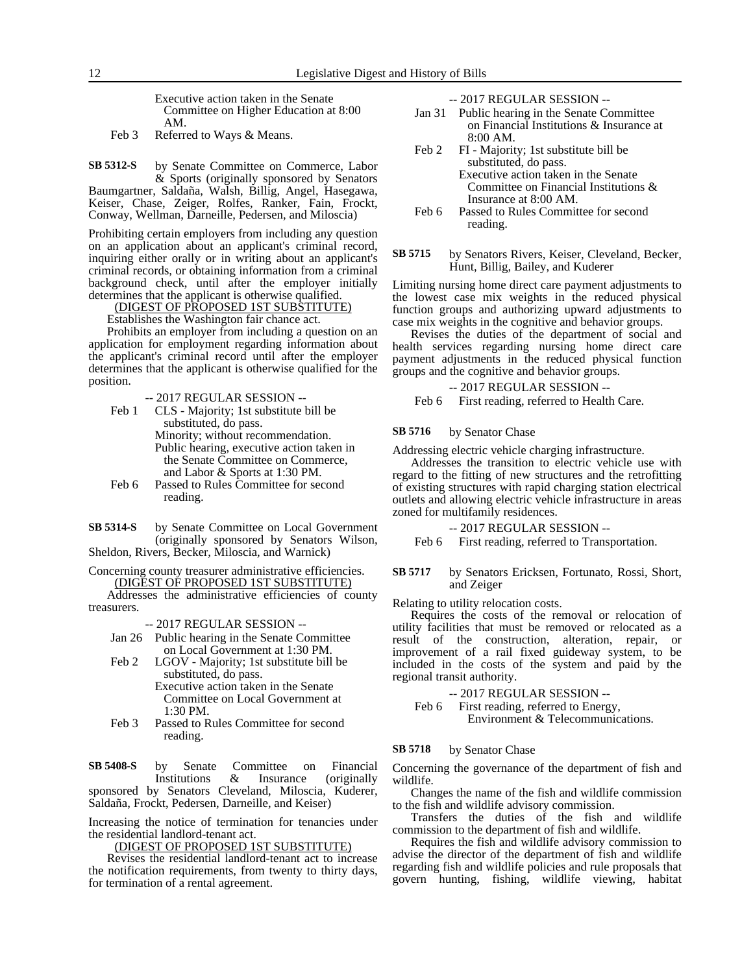Executive action taken in the Senate Committee on Higher Education at 8:00 AM.

Feb 3 Referred to Ways & Means.

by Senate Committee on Commerce, Labor & Sports (originally sponsored by Senators Baumgartner, Saldaña, Walsh, Billig, Angel, Hasegawa, Keiser, Chase, Zeiger, Rolfes, Ranker, Fain, Frockt, Conway, Wellman, Darneille, Pedersen, and Miloscia) **SB 5312-S**

Prohibiting certain employers from including any question on an application about an applicant's criminal record, inquiring either orally or in writing about an applicant's criminal records, or obtaining information from a criminal background check, until after the employer initially determines that the applicant is otherwise qualified.

(DIGEST OF PROPOSED 1ST SUBSTITUTE)

Establishes the Washington fair chance act.

Prohibits an employer from including a question on an application for employment regarding information about the applicant's criminal record until after the employer determines that the applicant is otherwise qualified for the position.

- -- 2017 REGULAR SESSION --
- Feb 1 CLS Majority; 1st substitute bill be substituted, do pass. Minority; without recommendation. Public hearing, executive action taken in the Senate Committee on Commerce, and Labor & Sports at 1:30 PM.
- Feb 6 Passed to Rules Committee for second reading.
- by Senate Committee on Local Government (originally sponsored by Senators Wilson, Sheldon, Rivers, Becker, Miloscia, and Warnick) **SB 5314-S**

Concerning county treasurer administrative efficiencies.

(DIGEST OF PROPOSED 1ST SUBSTITUTE) Addresses the administrative efficiencies of county treasurers.

-- 2017 REGULAR SESSION --

- Jan 26 Public hearing in the Senate Committee on Local Government at 1:30 PM.
- Feb 2 LGOV Majority; 1st substitute bill be substituted, do pass. Executive action taken in the Senate

Committee on Local Government at  $1:30 \text{ PM}$ 

Feb 3 Passed to Rules Committee for second reading.

by Senate Committee on Financial Institutions & Insurance (originally sponsored by Senators Cleveland, Miloscia, Kuderer, **SB 5408-S**

Saldaña, Frockt, Pedersen, Darneille, and Keiser)

Increasing the notice of termination for tenancies under the residential landlord-tenant act.

(DIGEST OF PROPOSED 1ST SUBSTITUTE)

Revises the residential landlord-tenant act to increase the notification requirements, from twenty to thirty days, for termination of a rental agreement.

-- 2017 REGULAR SESSION --

- Jan 31 Public hearing in the Senate Committee on Financial Institutions & Insurance at 8:00 AM.
- Feb 2 FI Majority; 1st substitute bill be substituted, do pass. Executive action taken in the Senate Committee on Financial Institutions & Insurance at 8:00 AM.
- Feb 6 Passed to Rules Committee for second reading.
- by Senators Rivers, Keiser, Cleveland, Becker, Hunt, Billig, Bailey, and Kuderer **SB 5715**

Limiting nursing home direct care payment adjustments to the lowest case mix weights in the reduced physical function groups and authorizing upward adjustments to case mix weights in the cognitive and behavior groups.

Revises the duties of the department of social and health services regarding nursing home direct care payment adjustments in the reduced physical function groups and the cognitive and behavior groups.

-- 2017 REGULAR SESSION --

Feb 6 First reading, referred to Health Care.

#### by Senator Chase **SB 5716**

Addressing electric vehicle charging infrastructure.

Addresses the transition to electric vehicle use with regard to the fitting of new structures and the retrofitting of existing structures with rapid charging station electrical outlets and allowing electric vehicle infrastructure in areas zoned for multifamily residences.

-- 2017 REGULAR SESSION --

Feb 6 First reading, referred to Transportation.

by Senators Ericksen, Fortunato, Rossi, Short, and Zeiger **SB 5717**

Relating to utility relocation costs.

Requires the costs of the removal or relocation of utility facilities that must be removed or relocated as a result of the construction, alteration, repair, or improvement of a rail fixed guideway system, to be included in the costs of the system and paid by the regional transit authority.

-- 2017 REGULAR SESSION --

Feb 6 First reading, referred to Energy, Environment & Telecommunications.

#### by Senator Chase **SB 5718**

Concerning the governance of the department of fish and wildlife.

Changes the name of the fish and wildlife commission to the fish and wildlife advisory commission.

Transfers the duties of the fish and wildlife commission to the department of fish and wildlife.

Requires the fish and wildlife advisory commission to advise the director of the department of fish and wildlife regarding fish and wildlife policies and rule proposals that govern hunting, fishing, wildlife viewing, habitat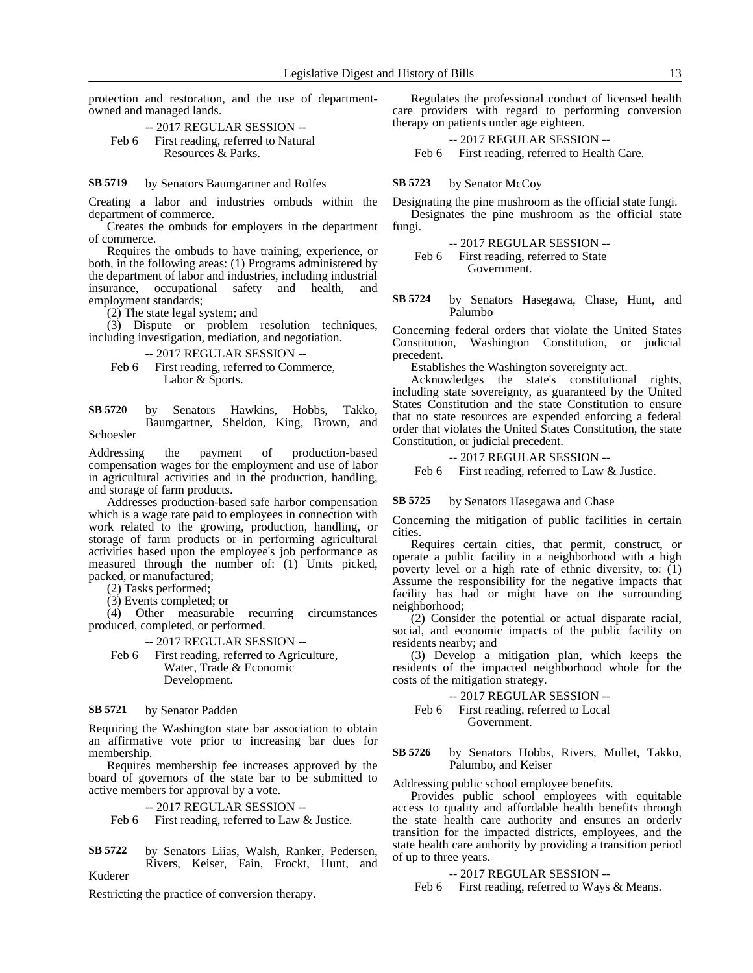protection and restoration, and the use of departmentowned and managed lands.

-- 2017 REGULAR SESSION -- Feb 6 First reading, referred to Natural Resources & Parks.

by Senators Baumgartner and Rolfes **SB 5719**

Creating a labor and industries ombuds within the department of commerce.

Creates the ombuds for employers in the department of commerce.

Requires the ombuds to have training, experience, or both, in the following areas: (1) Programs administered by the department of labor and industries, including industrial<br>insurance, occupational safety and health, and insurance, occupational safety and health, and employment standards;

(2) The state legal system; and

(3) Dispute or problem resolution techniques, including investigation, mediation, and negotiation.

-- 2017 REGULAR SESSION --

Feb 6 First reading, referred to Commerce, Labor & Sports.

by Senators Hawkins, Hobbs, Takko, Baumgartner, Sheldon, King, Brown, and Schoesler **SB 5720**

Addressing the payment of production-based compensation wages for the employment and use of labor in agricultural activities and in the production, handling, and storage of farm products.

Addresses production-based safe harbor compensation which is a wage rate paid to employees in connection with work related to the growing, production, handling, or storage of farm products or in performing agricultural activities based upon the employee's job performance as measured through the number of: (1) Units picked, packed, or manufactured;

(2) Tasks performed;

(3) Events completed; or

(4) Other measurable recurring circumstances produced, completed, or performed.

-- 2017 REGULAR SESSION --

Feb 6 First reading, referred to Agriculture, Water, Trade & Economic Development.

#### by Senator Padden **SB 5721**

Requiring the Washington state bar association to obtain an affirmative vote prior to increasing bar dues for membership.

Requires membership fee increases approved by the board of governors of the state bar to be submitted to active members for approval by a vote.

-- 2017 REGULAR SESSION --

Feb 6 First reading, referred to Law & Justice.

by Senators Liias, Walsh, Ranker, Pedersen, Rivers, Keiser, Fain, Frockt, Hunt, and Kuderer **SB 5722**

Restricting the practice of conversion therapy.

Regulates the professional conduct of licensed health care providers with regard to performing conversion therapy on patients under age eighteen.

-- 2017 REGULAR SESSION -- Feb 6 First reading, referred to Health Care.

#### by Senator McCoy **SB 5723**

Designating the pine mushroom as the official state fungi. Designates the pine mushroom as the official state fungi.

-- 2017 REGULAR SESSION --

Feb 6 First reading, referred to State Government.

by Senators Hasegawa, Chase, Hunt, and Palumbo **SB 5724**

Concerning federal orders that violate the United States Constitution, Washington Constitution, or judicial precedent.

Establishes the Washington sovereignty act.

Acknowledges the state's constitutional rights, including state sovereignty, as guaranteed by the United States Constitution and the state Constitution to ensure that no state resources are expended enforcing a federal order that violates the United States Constitution, the state Constitution, or judicial precedent.

-- 2017 REGULAR SESSION --

Feb 6 First reading, referred to Law & Justice.

#### by Senators Hasegawa and Chase **SB 5725**

Concerning the mitigation of public facilities in certain cities.

Requires certain cities, that permit, construct, or operate a public facility in a neighborhood with a high poverty level or a high rate of ethnic diversity, to: (1) Assume the responsibility for the negative impacts that facility has had or might have on the surrounding neighborhood;

(2) Consider the potential or actual disparate racial, social, and economic impacts of the public facility on residents nearby; and

(3) Develop a mitigation plan, which keeps the residents of the impacted neighborhood whole for the costs of the mitigation strategy.

-- 2017 REGULAR SESSION -- Feb 6 First reading, referred to Local

Government.

by Senators Hobbs, Rivers, Mullet, Takko, Palumbo, and Keiser **SB 5726**

Addressing public school employee benefits.

Provides public school employees with equitable access to quality and affordable health benefits through the state health care authority and ensures an orderly transition for the impacted districts, employees, and the state health care authority by providing a transition period of up to three years.

### -- 2017 REGULAR SESSION --

Feb 6 First reading, referred to Ways & Means.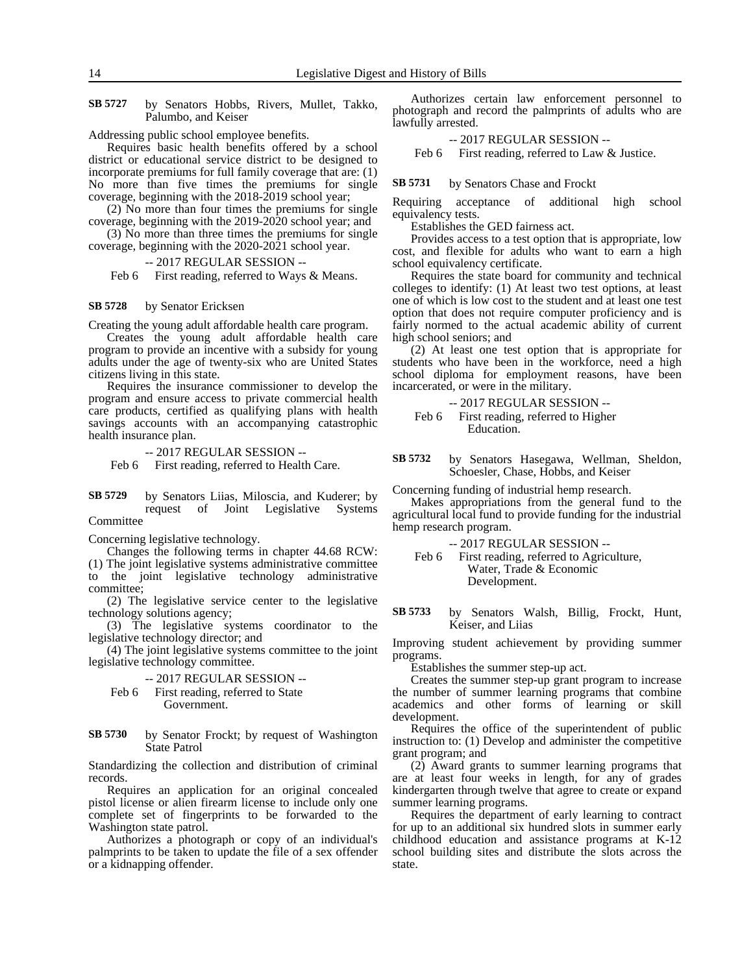by Senators Hobbs, Rivers, Mullet, Takko, Palumbo, and Keiser **SB 5727**

Addressing public school employee benefits.

Requires basic health benefits offered by a school district or educational service district to be designed to incorporate premiums for full family coverage that are: (1) No more than five times the premiums for single coverage, beginning with the 2018-2019 school year;

(2) No more than four times the premiums for single coverage, beginning with the 2019-2020 school year; and

(3) No more than three times the premiums for single coverage, beginning with the 2020-2021 school year.

-- 2017 REGULAR SESSION --

Feb 6 First reading, referred to Ways & Means.

#### by Senator Ericksen **SB 5728**

Creating the young adult affordable health care program.

Creates the young adult affordable health care program to provide an incentive with a subsidy for young adults under the age of twenty-six who are United States citizens living in this state.

Requires the insurance commissioner to develop the program and ensure access to private commercial health care products, certified as qualifying plans with health savings accounts with an accompanying catastrophic health insurance plan.

-- 2017 REGULAR SESSION --

Feb 6 First reading, referred to Health Care.

by Senators Liias, Miloscia, and Kuderer; by request of Joint Legislative Systems Committee **SB 5729**

Concerning legislative technology.

Changes the following terms in chapter 44.68 RCW: (1) The joint legislative systems administrative committee to the joint legislative technology administrative committee;

(2) The legislative service center to the legislative technology solutions agency;

(3) The legislative systems coordinator to the legislative technology director; and

(4) The joint legislative systems committee to the joint legislative technology committee.

-- 2017 REGULAR SESSION -- Feb 6 First reading, referred to State Government.

by Senator Frockt; by request of Washington State Patrol **SB 5730**

Standardizing the collection and distribution of criminal records.

Requires an application for an original concealed pistol license or alien firearm license to include only one complete set of fingerprints to be forwarded to the Washington state patrol.

Authorizes a photograph or copy of an individual's palmprints to be taken to update the file of a sex offender or a kidnapping offender.

Authorizes certain law enforcement personnel to photograph and record the palmprints of adults who are lawfully arrested.

-- 2017 REGULAR SESSION --

Feb 6 First reading, referred to Law & Justice.

#### by Senators Chase and Frockt **SB 5731**

Requiring acceptance of additional high school equivalency tests.

Establishes the GED fairness act.

Provides access to a test option that is appropriate, low cost, and flexible for adults who want to earn a high school equivalency certificate.

Requires the state board for community and technical colleges to identify: (1) At least two test options, at least one of which is low cost to the student and at least one test option that does not require computer proficiency and is fairly normed to the actual academic ability of current high school seniors; and

(2) At least one test option that is appropriate for students who have been in the workforce, need a high school diploma for employment reasons, have been incarcerated, or were in the military.

-- 2017 REGULAR SESSION -- Feb 6 First reading, referred to Higher Education.

by Senators Hasegawa, Wellman, Sheldon, Schoesler, Chase, Hobbs, and Keiser **SB 5732**

Concerning funding of industrial hemp research.

Makes appropriations from the general fund to the agricultural local fund to provide funding for the industrial hemp research program.

-- 2017 REGULAR SESSION --

Feb 6 First reading, referred to Agriculture, Water, Trade & Economic Development.

by Senators Walsh, Billig, Frockt, Hunt, Keiser, and Liias **SB 5733**

Improving student achievement by providing summer programs.

Establishes the summer step-up act.

Creates the summer step-up grant program to increase the number of summer learning programs that combine academics and other forms of learning or skill development.

Requires the office of the superintendent of public instruction to: (1) Develop and administer the competitive grant program; and

(2) Award grants to summer learning programs that are at least four weeks in length, for any of grades kindergarten through twelve that agree to create or expand summer learning programs.

Requires the department of early learning to contract for up to an additional six hundred slots in summer early childhood education and assistance programs at K-12 school building sites and distribute the slots across the state.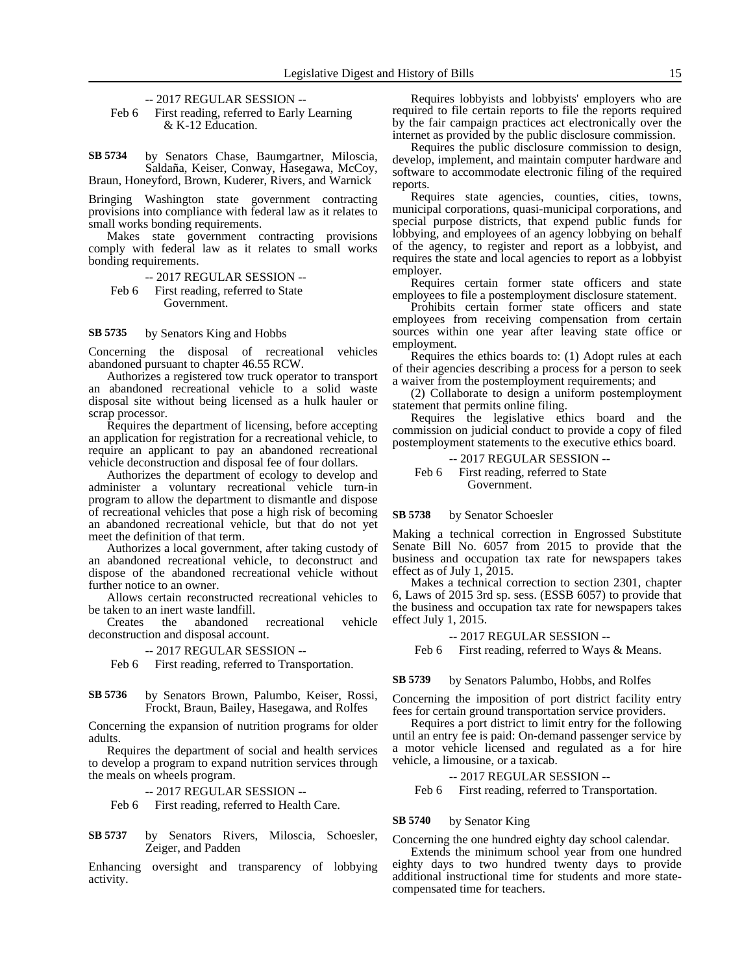-- 2017 REGULAR SESSION --

Feb 6 First reading, referred to Early Learning & K-12 Education.

by Senators Chase, Baumgartner, Miloscia, Saldaña, Keiser, Conway, Hasegawa, McCoy, Braun, Honeyford, Brown, Kuderer, Rivers, and Warnick **SB 5734**

Bringing Washington state government contracting provisions into compliance with federal law as it relates to small works bonding requirements.

Makes state government contracting provisions comply with federal law as it relates to small works bonding requirements.

-- 2017 REGULAR SESSION -- Feb 6 First reading, referred to State Government.

by Senators King and Hobbs **SB 5735**

Concerning the disposal of recreational vehicles abandoned pursuant to chapter 46.55 RCW.

Authorizes a registered tow truck operator to transport an abandoned recreational vehicle to a solid waste disposal site without being licensed as a hulk hauler or scrap processor.

Requires the department of licensing, before accepting an application for registration for a recreational vehicle, to require an applicant to pay an abandoned recreational vehicle deconstruction and disposal fee of four dollars.

Authorizes the department of ecology to develop and administer a voluntary recreational vehicle turn-in program to allow the department to dismantle and dispose of recreational vehicles that pose a high risk of becoming an abandoned recreational vehicle, but that do not yet meet the definition of that term.

Authorizes a local government, after taking custody of an abandoned recreational vehicle, to deconstruct and dispose of the abandoned recreational vehicle without further notice to an owner.

Allows certain reconstructed recreational vehicles to be taken to an inert waste landfill.<br>Creates the abandoned

Creates the abandoned recreational vehicle deconstruction and disposal account.

### -- 2017 REGULAR SESSION --

Feb 6 First reading, referred to Transportation.

#### by Senators Brown, Palumbo, Keiser, Rossi, Frockt, Braun, Bailey, Hasegawa, and Rolfes **SB 5736**

Concerning the expansion of nutrition programs for older adults.

Requires the department of social and health services to develop a program to expand nutrition services through the meals on wheels program.

-- 2017 REGULAR SESSION -- Feb 6 First reading, referred to Health Care.

by Senators Rivers, Miloscia, Schoesler, Zeiger, and Padden **SB 5737**

Enhancing oversight and transparency of lobbying activity.

Requires lobbyists and lobbyists' employers who are required to file certain reports to file the reports required by the fair campaign practices act electronically over the internet as provided by the public disclosure commission.

Requires the public disclosure commission to design, develop, implement, and maintain computer hardware and software to accommodate electronic filing of the required reports.

Requires state agencies, counties, cities, towns, municipal corporations, quasi-municipal corporations, and special purpose districts, that expend public funds for lobbying, and employees of an agency lobbying on behalf of the agency, to register and report as a lobbyist, and requires the state and local agencies to report as a lobbyist employer.

Requires certain former state officers and state employees to file a postemployment disclosure statement.

Prohibits certain former state officers and state employees from receiving compensation from certain sources within one year after leaving state office or employment.

Requires the ethics boards to: (1) Adopt rules at each of their agencies describing a process for a person to seek a waiver from the postemployment requirements; and

(2) Collaborate to design a uniform postemployment statement that permits online filing.

Requires the legislative ethics board and the commission on judicial conduct to provide a copy of filed postemployment statements to the executive ethics board.

-- 2017 REGULAR SESSION --

Feb 6 First reading, referred to State Government.

#### by Senator Schoesler **SB 5738**

Making a technical correction in Engrossed Substitute Senate Bill No. 6057 from 2015 to provide that the business and occupation tax rate for newspapers takes effect as of July 1, 2015.

Makes a technical correction to section 2301, chapter 6, Laws of 2015 3rd sp. sess. (ESSB 6057) to provide that the business and occupation tax rate for newspapers takes effect July 1, 2015.

-- 2017 REGULAR SESSION --

Feb 6 First reading, referred to Ways & Means.

by Senators Palumbo, Hobbs, and Rolfes **SB 5739**

Concerning the imposition of port district facility entry fees for certain ground transportation service providers.

Requires a port district to limit entry for the following until an entry fee is paid: On-demand passenger service by a motor vehicle licensed and regulated as a for hire vehicle, a limousine, or a taxicab.

-- 2017 REGULAR SESSION --

Feb 6 First reading, referred to Transportation.

#### by Senator King **SB 5740**

Concerning the one hundred eighty day school calendar.

Extends the minimum school year from one hundred eighty days to two hundred twenty days to provide additional instructional time for students and more statecompensated time for teachers.